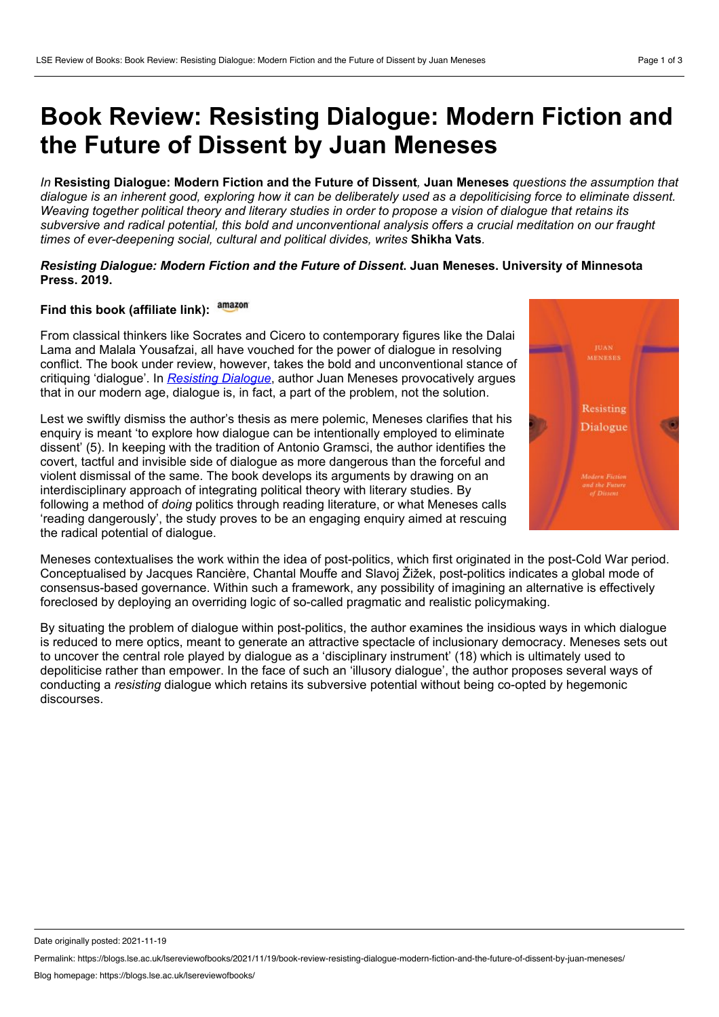## **Book Review: Resisting Dialogue: Modern Fiction and the Future of Dissent by Juan Meneses**

In Resisting Dialogue: Modern Fiction and the Future of Dissent. Juan Meneses *questions the assumption that* dialoque is an inherent good, exploring how it can be deliberately used as a depoliticising force to eliminate dissent. Weaving together political theory and literary studies in order to propose a vision of dialogue that retains its subversive and radical potential, this bold and unconventional analysis offers a crucial meditation on our fraught *times of ever-deepening social, cultural and political divides, writes* **Shikha Vats***.*

## *Resisting Dialogue: Modern Fiction and the Future of Dissent***. Juan Meneses. University of Minnesota Press. 2019.**

## **Find this book (affiliate link):**

From classical thinkers like Socrates and Cicero to contemporary figures like the Dalai Lama and Malala Yousafzai, all have vouched for the power of dialogue in resolving conflict. The book under review, however, takes the bold and unconventional stance of critiquing 'dialogue'. In *[Resisting](https://www.upress.umn.edu/book-division/books/resisting-dialogue) Dialogue*, author Juan Meneses provocatively argues that in our modern age, dialogue is, in fact, a part of the problem, not the solution.

Lest we swiftly dismiss the author's thesis as mere polemic, Meneses clarifies that his enquiry is meant 'to explore how dialogue can be intentionally employed to eliminate dissent' (5). In keeping with the tradition of Antonio Gramsci, the author identifies the covert, tactful and invisible side of dialogue as more dangerous than the forceful and violent dismissal of the same. The book develops its arguments by drawing on an interdisciplinary approach of integrating political theory with literary studies. By following a method of *doing* politics through reading literature, or what Meneses calls 'reading dangerously', the study proves to be an engaging enquiry aimed at rescuing the radical potential of dialogue.



Meneses contextualises the work within the idea of post-politics, which first originated in the post-Cold War period. Conceptualised by Jacques Rancière, Chantal Mouffe and Slavoj Žižek, post-politics indicates a global mode of consensus-based governance. Within such a framework, any possibility of imagining an alternative is effectively foreclosed by deploying an overriding logic of so-called pragmatic and realistic policymaking.

By situating the problem of dialogue within post-politics, the author examines the insidious ways in which dialogue is reduced to mere optics, meant to generate an attractive spectacle of inclusionary democracy. Meneses sets out to uncover the central role played by dialogue as a 'disciplinary instrument' (18) which is ultimately used to depoliticise rather than empower. In the face of such an 'illusory dialogue', the author proposes several ways of conducting a *resisting* dialogue which retains its subversive potential without being co-opted by hegemonic discourses.

Date originally posted: 2021-11-19

Permalink: https://blogs.lse.ac.uk/lsereviewofbooks/2021/11/19/book-review-resisting-dialogue-modern-fiction-and-the-future-of-dissent-by-juan-meneses/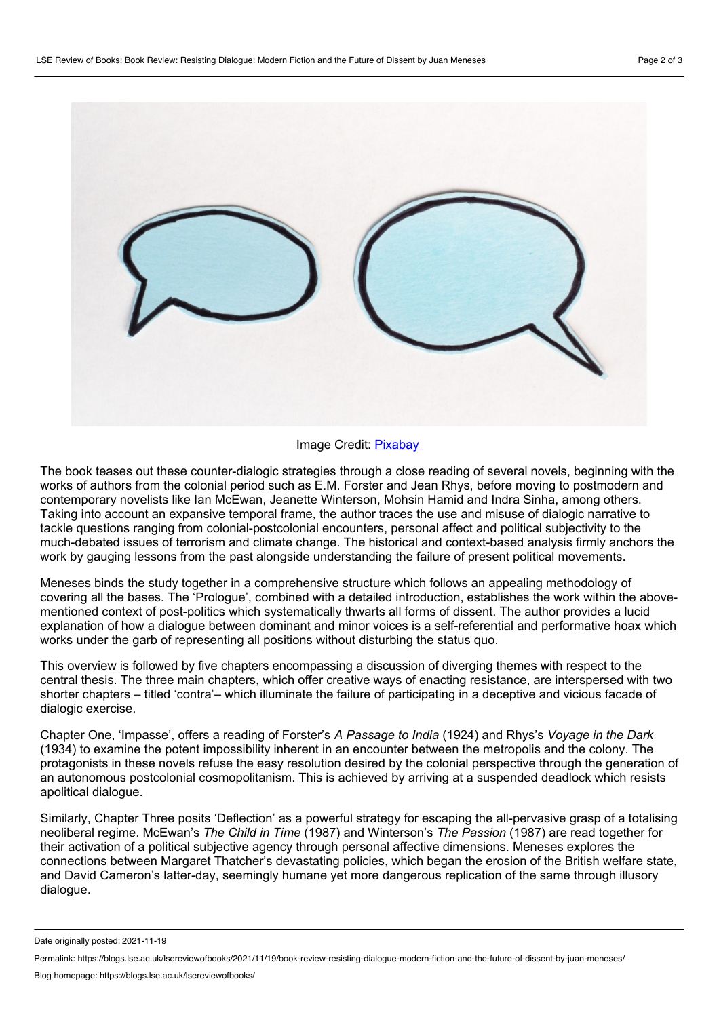

## Image Credit: [Pixabay](https://pixabay.com/illustrations/balloons-to-speak-talk-balloon-3869220/)

The book teases out these counter-dialogic strategies through a close reading of several novels, beginning with the works of authors from the colonial period such as E.M. Forster and Jean Rhys, before moving to postmodern and contemporary novelists like Ian McEwan, Jeanette Winterson, Mohsin Hamid and Indra Sinha, among others. Taking into account an expansive temporal frame, the author traces the use and misuse of dialogic narrative to tackle questions ranging from colonial-postcolonial encounters, personal affect and political subjectivity to the much-debated issues of terrorism and climate change. The historical and context-based analysis firmly anchors the work by gauging lessons from the past alongside understanding the failure of present political movements.

Meneses binds the study together in a comprehensive structure which follows an appealing methodology of covering all the bases. The 'Prologue', combined with a detailed introduction, establishes the work within the above mentioned context of post-politics which systematically thwarts all forms of dissent. The author provides a lucid explanation of how a dialogue between dominant and minor voices is a self-referential and performative hoax which works under the garb of representing all positions without disturbing the status quo.

This overview is followed by five chapters encompassing a discussion of diverging themes with respect to the central thesis. The three main chapters, which offer creative ways of enacting resistance, are interspersed with two shorter chapters – titled 'contra'– which illuminate the failure of participating in a deceptive and vicious facade of dialogic exercise.

Chapter One, 'Impasse', offers a reading of Forster's *A Passage to India* (1924) and Rhys's *Voyage in the Dark* (1934) to examine the potent impossibility inherent in an encounter between the metropolis and the colony. The protagonists in these novels refuse the easy resolution desired by the colonial perspective through the generation of an autonomous postcolonial cosmopolitanism. This is achieved by arriving at a suspended deadlock which resists apolitical dialogue.

Similarly, Chapter Three posits 'Deflection' as a powerful strategy for escaping the all-pervasive grasp of a totalising neoliberal regime. McEwan's *The Child in Time* (1987) and Winterson's *The Passion* (1987) are read together for their activation of a political subjective agency through personal affective dimensions. Meneses explores the connections between Margaret Thatcher's devastating policies, which began the erosion of the British welfare state, and David Cameron's latter-day, seemingly humane yet more dangerous replication of the same through illusory dialogue.

Date originally posted: 2021-11-19

Permalink: https://blogs.lse.ac.uk/lsereviewofbooks/2021/11/19/book-review-resisting-dialogue-modern-fiction-and-the-future-of-dissent-by-juan-meneses/